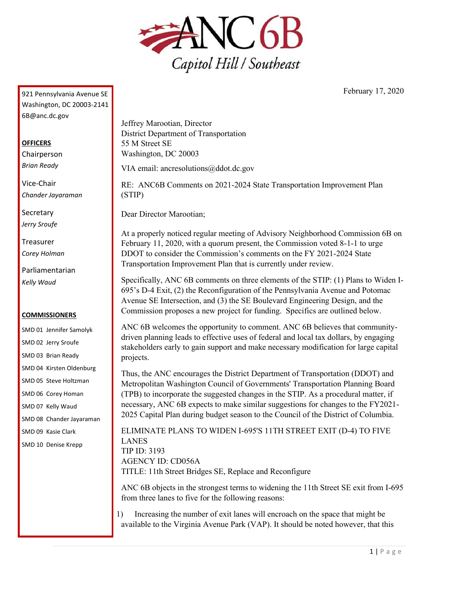

February 17, 2020

921 Pennsylvania Avenue SE Washington, DC 20003-2141 6B@anc.dc.gov

## **OFFICERS**

Chairperson *Brian Ready*

Vice-Chair *Chander Jayaraman*

**Secretary** *Jerry Sroufe*

Treasurer *Corey Holman*

Parliamentarian *Kelly Waud*

## **COMMISSIONERS**

SMD 01 Jennifer Samolyk SMD 02 Jerry Sroufe SMD 03 Brian Ready SMD 04 Kirsten Oldenburg SMD 05 Steve Holtzman SMD 06 Corey Homan SMD 07 Kelly Waud SMD 08 Chander Jayaraman SMD 09 Kasie Clark SMD 10 Denise Krepp

Jeffrey Marootian, Director District Department of Transportation 55 M Street SE Washington, DC 20003

VIA email: ancresolutions@ddot.dc.gov

RE: ANC6B Comments on 2021-2024 State Transportation Improvement Plan (STIP)

Dear Director Marootian;

At a properly noticed regular meeting of Advisory Neighborhood Commission 6B on February 11, 2020, with a quorum present, the Commission voted 8-1-1 to urge DDOT to consider the Commission's comments on the FY 2021-2024 State Transportation Improvement Plan that is currently under review.

Specifically, ANC 6B comments on three elements of the STIP: (1) Plans to Widen I-695's D-4 Exit, (2) the Reconfiguration of the Pennsylvania Avenue and Potomac Avenue SE Intersection, and (3) the SE Boulevard Engineering Design, and the Commission proposes a new project for funding. Specifics are outlined below.

ANC 6B welcomes the opportunity to comment. ANC 6B believes that communitydriven planning leads to effective uses of federal and local tax dollars, by engaging stakeholders early to gain support and make necessary modification for large capital projects.

Thus, the ANC encourages the District Department of Transportation (DDOT) and Metropolitan Washington Council of Governments' Transportation Planning Board (TPB) to incorporate the suggested changes in the STIP. As a procedural matter, if necessary, ANC 6B expects to make similar suggestions for changes to the FY2021- 2025 Capital Plan during budget season to the Council of the District of Columbia.

ELIMINATE PLANS TO WIDEN I-695'S 11TH STREET EXIT (D-4) TO FIVE LANES TIP ID: 3193 AGENCY ID: CD056A TITLE: 11th Street Bridges SE, Replace and Reconfigure

ANC 6B objects in the strongest terms to widening the 11th Street SE exit from I-695 from three lanes to five for the following reasons:

1) Increasing the number of exit lanes will encroach on the space that might be available to the Virginia Avenue Park (VAP). It should be noted however, that this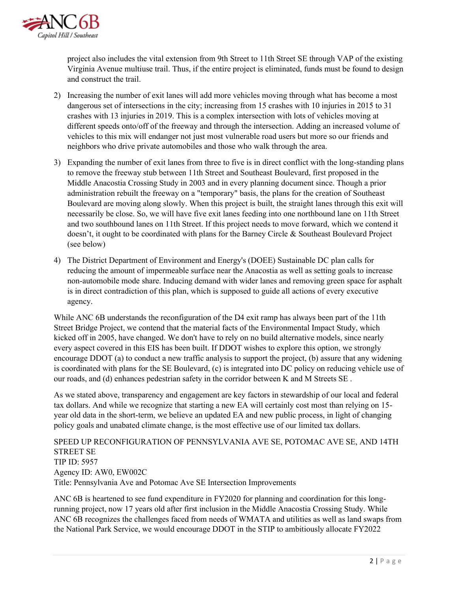

project also includes the vital extension from 9th Street to 11th Street SE through VAP of the existing Virginia Avenue multiuse trail. Thus, if the entire project is eliminated, funds must be found to design and construct the trail.

- 2) Increasing the number of exit lanes will add more vehicles moving through what has become a most dangerous set of intersections in the city; increasing from 15 crashes with 10 injuries in 2015 to 31 crashes with 13 injuries in 2019. This is a complex intersection with lots of vehicles moving at different speeds onto/off of the freeway and through the intersection. Adding an increased volume of vehicles to this mix will endanger not just most vulnerable road users but more so our friends and neighbors who drive private automobiles and those who walk through the area.
- 3) Expanding the number of exit lanes from three to five is in direct conflict with the long-standing plans to remove the freeway stub between 11th Street and Southeast Boulevard, first proposed in the Middle Anacostia Crossing Study in 2003 and in every planning document since. Though a prior administration rebuilt the freeway on a "temporary" basis, the plans for the creation of Southeast Boulevard are moving along slowly. When this project is built, the straight lanes through this exit will necessarily be close. So, we will have five exit lanes feeding into one northbound lane on 11th Street and two southbound lanes on 11th Street. If this project needs to move forward, which we contend it doesn't, it ought to be coordinated with plans for the Barney Circle & Southeast Boulevard Project (see below)
- 4) The District Department of Environment and Energy's (DOEE) Sustainable DC plan calls for reducing the amount of impermeable surface near the Anacostia as well as setting goals to increase non-automobile mode share. Inducing demand with wider lanes and removing green space for asphalt is in direct contradiction of this plan, which is supposed to guide all actions of every executive agency.

While ANC 6B understands the reconfiguration of the D4 exit ramp has always been part of the 11th Street Bridge Project, we contend that the material facts of the Environmental Impact Study, which kicked off in 2005, have changed. We don't have to rely on no build alternative models, since nearly every aspect covered in this EIS has been built. If DDOT wishes to explore this option, we strongly encourage DDOT (a) to conduct a new traffic analysis to support the project, (b) assure that any widening is coordinated with plans for the SE Boulevard, (c) is integrated into DC policy on reducing vehicle use of our roads, and (d) enhances pedestrian safety in the corridor between K and M Streets SE .

As we stated above, transparency and engagement are key factors in stewardship of our local and federal tax dollars. And while we recognize that starting a new EA will certainly cost most than relying on 15 year old data in the short-term, we believe an updated EA and new public process, in light of changing policy goals and unabated climate change, is the most effective use of our limited tax dollars.

SPEED UP RECONFIGURATION OF PENNSYLVANIA AVE SE, POTOMAC AVE SE, AND 14TH STREET SE TIP ID: 5957 Agency ID: AW0, EW002C Title: Pennsylvania Ave and Potomac Ave SE Intersection Improvements

ANC 6B is heartened to see fund expenditure in FY2020 for planning and coordination for this longrunning project, now 17 years old after first inclusion in the Middle Anacostia Crossing Study. While ANC 6B recognizes the challenges faced from needs of WMATA and utilities as well as land swaps from the National Park Service, we would encourage DDOT in the STIP to ambitiously allocate FY2022